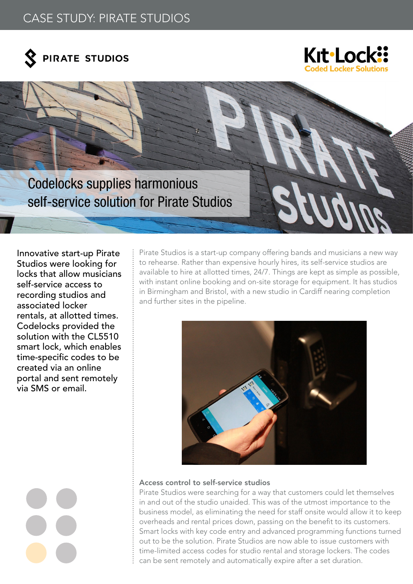# CASE STUDY: PIRATE STUDIOS





Codelocks supplies harmonious self-service solution for Pirate Studios

Innovative start-up Pirate Studios were looking for locks that allow musicians self-service access to recording studios and associated locker rentals, at allotted times. Codelocks provided the solution with the CL5510 smart lock, which enables time-specific codes to be created via an online portal and sent remotely via SMS or email.

Pirate Studios is a start-up company offering bands and musicians a new way to rehearse. Rather than expensive hourly hires, its self-service studios are available to hire at allotted times, 24/7. Things are kept as simple as possible, with instant online booking and on-site storage for equipment. It has studios in Birmingham and Bristol, with a new studio in Cardiff nearing completion and further sites in the pipeline.



## Access control to self-service studios

Pirate Studios were searching for a way that customers could let themselves in and out of the studio unaided. This was of the utmost importance to the business model, as eliminating the need for staff onsite would allow it to keep overheads and rental prices down, passing on the benefit to its customers. Smart locks with key code entry and advanced programming functions turned out to be the solution. Pirate Studios are now able to issue customers with time-limited access codes for studio rental and storage lockers. The codes can be sent remotely and automatically expire after a set duration.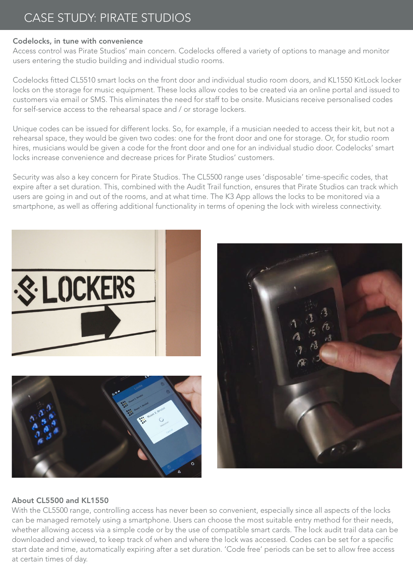# CASE STUDY: PIRATE STUDIOS

### Codelocks, in tune with convenience

Access control was Pirate Studios' main concern. Codelocks offered a variety of options to manage and monitor users entering the studio building and individual studio rooms.

Codelocks fitted CL5510 smart locks on the front door and individual studio room doors, and KL1550 KitLock locker locks on the storage for music equipment. These locks allow codes to be created via an online portal and issued to customers via email or SMS. This eliminates the need for staff to be onsite. Musicians receive personalised codes for self-service access to the rehearsal space and / or storage lockers.

Unique codes can be issued for different locks. So, for example, if a musician needed to access their kit, but not a rehearsal space, they would be given two codes: one for the front door and one for storage. Or, for studio room hires, musicians would be given a code for the front door and one for an individual studio door. Codelocks' smart locks increase convenience and decrease prices for Pirate Studios' customers.

Security was also a key concern for Pirate Studios. The CL5500 range uses 'disposable' time-specific codes, that expire after a set duration. This, combined with the Audit Trail function, ensures that Pirate Studios can track which users are going in and out of the rooms, and at what time. The K3 App allows the locks to be monitored via a smartphone, as well as offering additional functionality in terms of opening the lock with wireless connectivity.



## About CL5500 and KL1550

With the CL5500 range, controlling access has never been so convenient, especially since all aspects of the locks can be managed remotely using a smartphone. Users can choose the most suitable entry method for their needs, whether allowing access via a simple code or by the use of compatible smart cards. The lock audit trail data can be downloaded and viewed, to keep track of when and where the lock was accessed. Codes can be set for a specific start date and time, automatically expiring after a set duration. 'Code free' periods can be set to allow free access at certain times of day.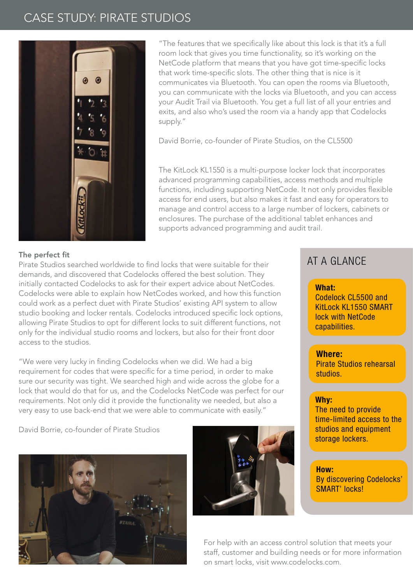# CASE STUDY: PIRATE STUDIOS



"The features that we specifically like about this lock is that it's a full room lock that gives you time functionality, so it's working on the NetCode platform that means that you have got time-specific locks that work time-specific slots. The other thing that is nice is it communicates via Bluetooth. You can open the rooms via Bluetooth, you can communicate with the locks via Bluetooth, and you can access your Audit Trail via Bluetooth. You get a full list of all your entries and exits, and also who's used the room via a handy app that Codelocks supply."

David Borrie, co-founder of Pirate Studios, on the CL5500

The KitLock KL1550 is a multi-purpose locker lock that incorporates advanced programming capabilities, access methods and multiple functions, including supporting NetCode. It not only provides flexible access for end users, but also makes it fast and easy for operators to manage and control access to a large number of lockers, cabinets or enclosures. The purchase of the additional tablet enhances and supports advanced programming and audit trail.

### The perfect fit

Pirate Studios searched worldwide to find locks that were suitable for their demands, and discovered that Codelocks offered the best solution. They initially contacted Codelocks to ask for their expert advice about NetCodes. Codelocks were able to explain how NetCodes worked, and how this function could work as a perfect duet with Pirate Studios' existing API system to allow studio booking and locker rentals. Codelocks introduced specific lock options, allowing Pirate Studios to opt for different locks to suit different functions, not only for the individual studio rooms and lockers, but also for their front door access to the studios.

"We were very lucky in finding Codelocks when we did. We had a big requirement for codes that were specific for a time period, in order to make sure our security was tight. We searched high and wide across the globe for a lock that would do that for us, and the Codelocks NetCode was perfect for our requirements. Not only did it provide the functionality we needed, but also a very easy to use back-end that we were able to communicate with easily."

David Borrie, co-founder of Pirate Studios





# AT A GLANCE A GLANCE

What: What: Codelock CL5500 and KitLock KL1550 SMART lock with NetCode capabilities.

# Where: **Where:**

Pirate Studios rehearsal studios.

#### $\overline{\phantom{a}}$  $\mathsf{wny:}\qquad\qquad \qquad \blacksquare$ Why:

The need to provide time-limited access to the studios and equipment storage lockers.

### Bow: the state with the state of the state of the state of the state of the state of the state of the state of the state of the state of the state of the state of the state of the state of the state of the state of the sta

By discovering Codelocks' SMART' locks!

For help with an access control solution that meets your staff, customer and building needs or for more information on smart locks, visit www.codelocks.com.